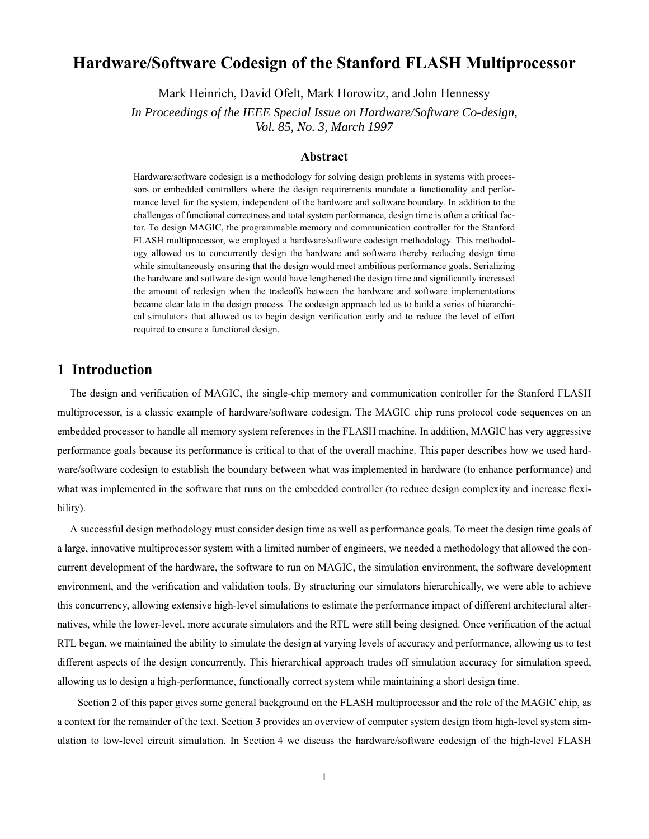# **Hardware/Software Codesign of the Stanford FLASH Multiprocessor**

Mark Heinrich, David Ofelt, Mark Horowitz, and John Hennessy

*In Proceedings of the IEEE Special Issue on Hardware/Software Co-design, Vol. 85, No. 3, March 1997*

### **Abstract**

Hardware/software codesign is a methodology for solving design problems in systems with processors or embedded controllers where the design requirements mandate a functionality and performance level for the system, independent of the hardware and software boundary. In addition to the challenges of functional correctness and total system performance, design time is often a critical factor. To design MAGIC, the programmable memory and communication controller for the Stanford FLASH multiprocessor, we employed a hardware/software codesign methodology. This methodology allowed us to concurrently design the hardware and software thereby reducing design time while simultaneously ensuring that the design would meet ambitious performance goals. Serializing the hardware and software design would have lengthened the design time and significantly increased the amount of redesign when the tradeoffs between the hardware and software implementations became clear late in the design process. The codesign approach led us to build a series of hierarchical simulators that allowed us to begin design verification early and to reduce the level of effort required to ensure a functional design.

### **1 Introduction**

The design and verification of MAGIC, the single-chip memory and communication controller for the Stanford FLASH multiprocessor, is a classic example of hardware/software codesign. The MAGIC chip runs protocol code sequences on an embedded processor to handle all memory system references in the FLASH machine. In addition, MAGIC has very aggressive performance goals because its performance is critical to that of the overall machine. This paper describes how we used hardware/software codesign to establish the boundary between what was implemented in hardware (to enhance performance) and what was implemented in the software that runs on the embedded controller (to reduce design complexity and increase flexibility).

A successful design methodology must consider design time as well as performance goals. To meet the design time goals of a large, innovative multiprocessor system with a limited number of engineers, we needed a methodology that allowed the concurrent development of the hardware, the software to run on MAGIC, the simulation environment, the software development environment, and the verification and validation tools. By structuring our simulators hierarchically, we were able to achieve this concurrency, allowing extensive high-level simulations to estimate the performance impact of different architectural alternatives, while the lower-level, more accurate simulators and the RTL were still being designed. Once verification of the actual RTL began, we maintained the ability to simulate the design at varying levels of accuracy and performance, allowing us to test different aspects of the design concurrently. This hierarchical approach trades off simulation accuracy for simulation speed, allowing us to design a high-performance, functionally correct system while maintaining a short design time.

 Section 2 of this paper gives some general background on the FLASH multiprocessor and the role of the MAGIC chip, as a context for the remainder of the text. Section 3 provides an overview of computer system design from high-level system simulation to low-level circuit simulation. In Section 4 we discuss the hardware/software codesign of the high-level FLASH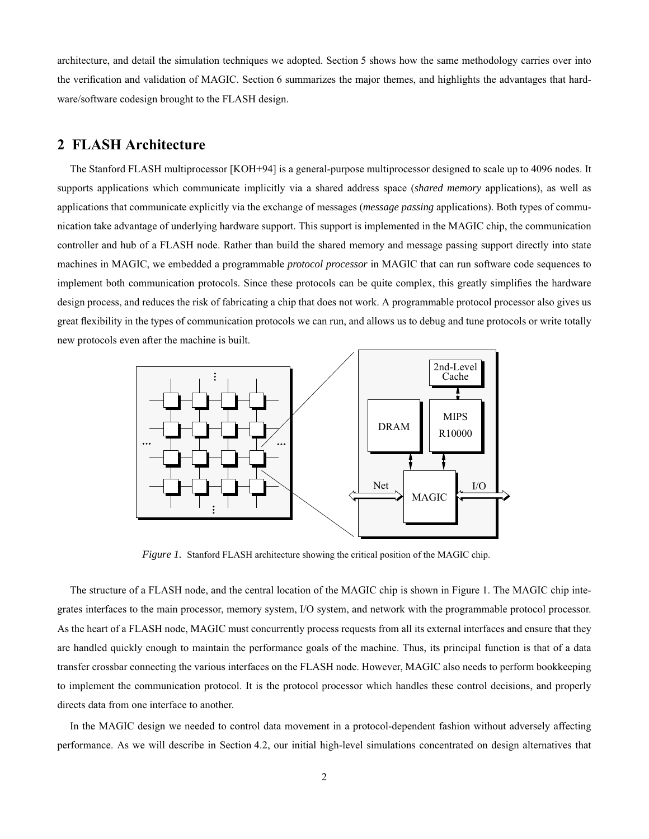architecture, and detail the simulation techniques we adopted. Section 5 shows how the same methodology carries over into the verification and validation of MAGIC. Section 6 summarizes the major themes, and highlights the advantages that hardware/software codesign brought to the FLASH design.

### **2 FLASH Architecture**

The Stanford FLASH multiprocessor [KOH+94] is a general-purpose multiprocessor designed to scale up to 4096 nodes. It supports applications which communicate implicitly via a shared address space (*shared memory* applications), as well as applications that communicate explicitly via the exchange of messages (*message passing* applications). Both types of communication take advantage of underlying hardware support. This support is implemented in the MAGIC chip, the communication controller and hub of a FLASH node. Rather than build the shared memory and message passing support directly into state machines in MAGIC, we embedded a programmable *protocol processor* in MAGIC that can run software code sequences to implement both communication protocols. Since these protocols can be quite complex, this greatly simplifies the hardware design process, and reduces the risk of fabricating a chip that does not work. A programmable protocol processor also gives us great flexibility in the types of communication protocols we can run, and allows us to debug and tune protocols or write totally new protocols even after the machine is built.



*Figure 1.* Stanford FLASH architecture showing the critical position of the MAGIC chip.

The structure of a FLASH node, and the central location of the MAGIC chip is shown in Figure 1. The MAGIC chip integrates interfaces to the main processor, memory system, I/O system, and network with the programmable protocol processor. As the heart of a FLASH node, MAGIC must concurrently process requests from all its external interfaces and ensure that they are handled quickly enough to maintain the performance goals of the machine. Thus, its principal function is that of a data transfer crossbar connecting the various interfaces on the FLASH node. However, MAGIC also needs to perform bookkeeping to implement the communication protocol. It is the protocol processor which handles these control decisions, and properly directs data from one interface to another.

In the MAGIC design we needed to control data movement in a protocol-dependent fashion without adversely affecting performance. As we will describe in Section 4.2, our initial high-level simulations concentrated on design alternatives that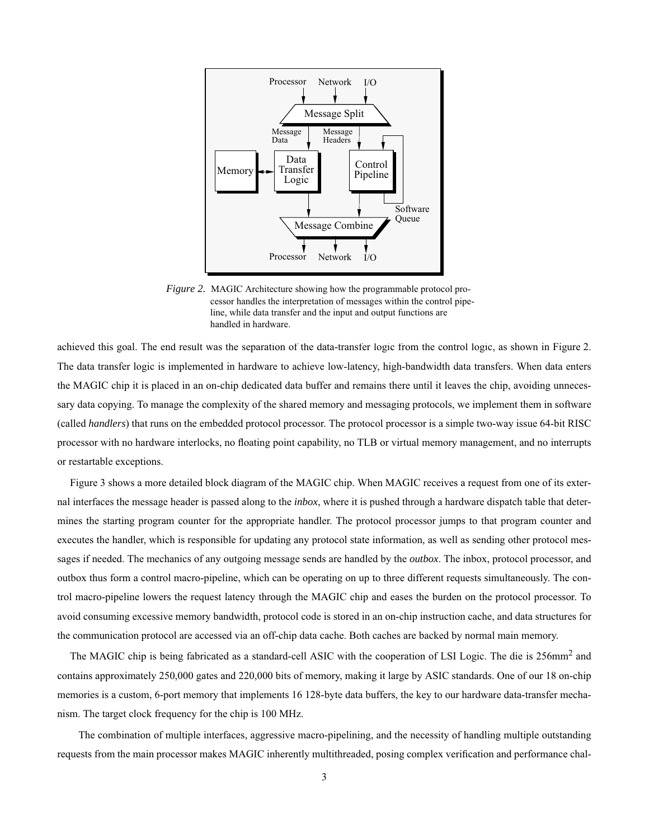

*Figure 2.* MAGIC Architecture showing how the programmable protocol processor handles the interpretation of messages within the control pipeline, while data transfer and the input and output functions are handled in hardware.

achieved this goal. The end result was the separation of the data-transfer logic from the control logic, as shown in Figure 2. The data transfer logic is implemented in hardware to achieve low-latency, high-bandwidth data transfers. When data enters the MAGIC chip it is placed in an on-chip dedicated data buffer and remains there until it leaves the chip, avoiding unnecessary data copying. To manage the complexity of the shared memory and messaging protocols, we implement them in software (called *handlers*) that runs on the embedded protocol processor. The protocol processor is a simple two-way issue 64-bit RISC processor with no hardware interlocks, no floating point capability, no TLB or virtual memory management, and no interrupts or restartable exceptions.

Figure 3 shows a more detailed block diagram of the MAGIC chip. When MAGIC receives a request from one of its external interfaces the message header is passed along to the *inbox*, where it is pushed through a hardware dispatch table that determines the starting program counter for the appropriate handler. The protocol processor jumps to that program counter and executes the handler, which is responsible for updating any protocol state information, as well as sending other protocol messages if needed. The mechanics of any outgoing message sends are handled by the *outbox*. The inbox, protocol processor, and outbox thus form a control macro-pipeline, which can be operating on up to three different requests simultaneously. The control macro-pipeline lowers the request latency through the MAGIC chip and eases the burden on the protocol processor. To avoid consuming excessive memory bandwidth, protocol code is stored in an on-chip instruction cache, and data structures for the communication protocol are accessed via an off-chip data cache. Both caches are backed by normal main memory.

The MAGIC chip is being fabricated as a standard-cell ASIC with the cooperation of LSI Logic. The die is 256mm<sup>2</sup> and contains approximately 250,000 gates and 220,000 bits of memory, making it large by ASIC standards. One of our 18 on-chip memories is a custom, 6-port memory that implements 16 128-byte data buffers, the key to our hardware data-transfer mechanism. The target clock frequency for the chip is 100 MHz.

 The combination of multiple interfaces, aggressive macro-pipelining, and the necessity of handling multiple outstanding requests from the main processor makes MAGIC inherently multithreaded, posing complex verification and performance chal-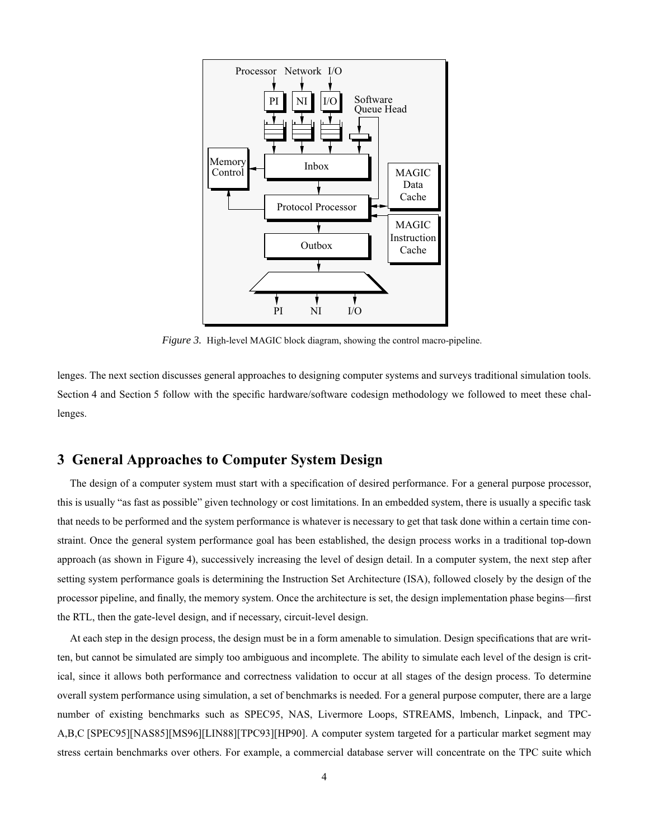

*Figure 3.* High-level MAGIC block diagram, showing the control macro-pipeline.

lenges. The next section discusses general approaches to designing computer systems and surveys traditional simulation tools. Section 4 and Section 5 follow with the specific hardware/software codesign methodology we followed to meet these challenges.

### **3 General Approaches to Computer System Design**

The design of a computer system must start with a specification of desired performance. For a general purpose processor, this is usually "as fast as possible" given technology or cost limitations. In an embedded system, there is usually a specific task that needs to be performed and the system performance is whatever is necessary to get that task done within a certain time constraint. Once the general system performance goal has been established, the design process works in a traditional top-down approach (as shown in Figure 4), successively increasing the level of design detail. In a computer system, the next step after setting system performance goals is determining the Instruction Set Architecture (ISA), followed closely by the design of the processor pipeline, and finally, the memory system. Once the architecture is set, the design implementation phase begins—first the RTL, then the gate-level design, and if necessary, circuit-level design.

At each step in the design process, the design must be in a form amenable to simulation. Design specifications that are written, but cannot be simulated are simply too ambiguous and incomplete. The ability to simulate each level of the design is critical, since it allows both performance and correctness validation to occur at all stages of the design process. To determine overall system performance using simulation, a set of benchmarks is needed. For a general purpose computer, there are a large number of existing benchmarks such as SPEC95, NAS, Livermore Loops, STREAMS, lmbench, Linpack, and TPC-A,B,C [SPEC95][NAS85][MS96][LIN88][TPC93][HP90]. A computer system targeted for a particular market segment may stress certain benchmarks over others. For example, a commercial database server will concentrate on the TPC suite which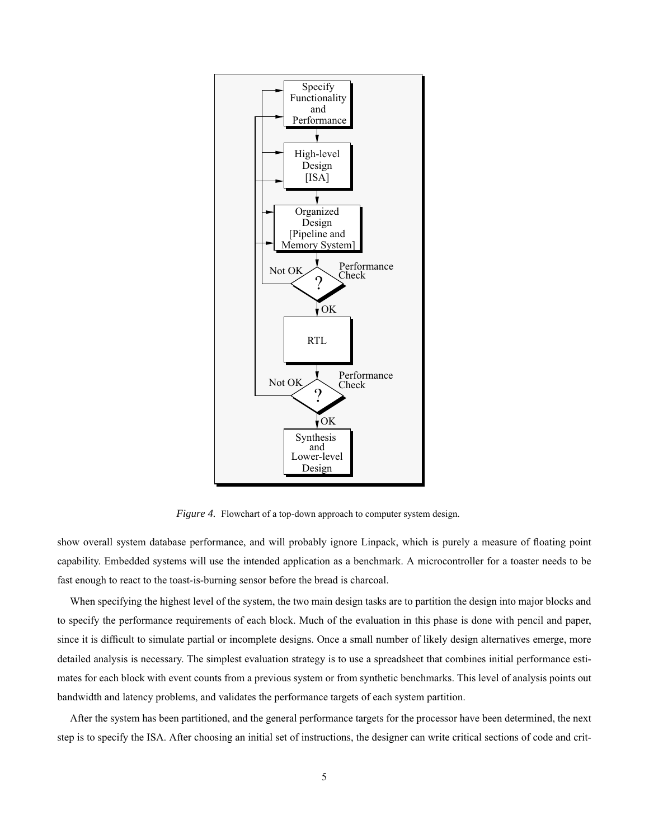

*Figure 4.* Flowchart of a top-down approach to computer system design.

show overall system database performance, and will probably ignore Linpack, which is purely a measure of floating point capability. Embedded systems will use the intended application as a benchmark. A microcontroller for a toaster needs to be fast enough to react to the toast-is-burning sensor before the bread is charcoal.

When specifying the highest level of the system, the two main design tasks are to partition the design into major blocks and to specify the performance requirements of each block. Much of the evaluation in this phase is done with pencil and paper, since it is difficult to simulate partial or incomplete designs. Once a small number of likely design alternatives emerge, more detailed analysis is necessary. The simplest evaluation strategy is to use a spreadsheet that combines initial performance estimates for each block with event counts from a previous system or from synthetic benchmarks. This level of analysis points out bandwidth and latency problems, and validates the performance targets of each system partition.

After the system has been partitioned, and the general performance targets for the processor have been determined, the next step is to specify the ISA. After choosing an initial set of instructions, the designer can write critical sections of code and crit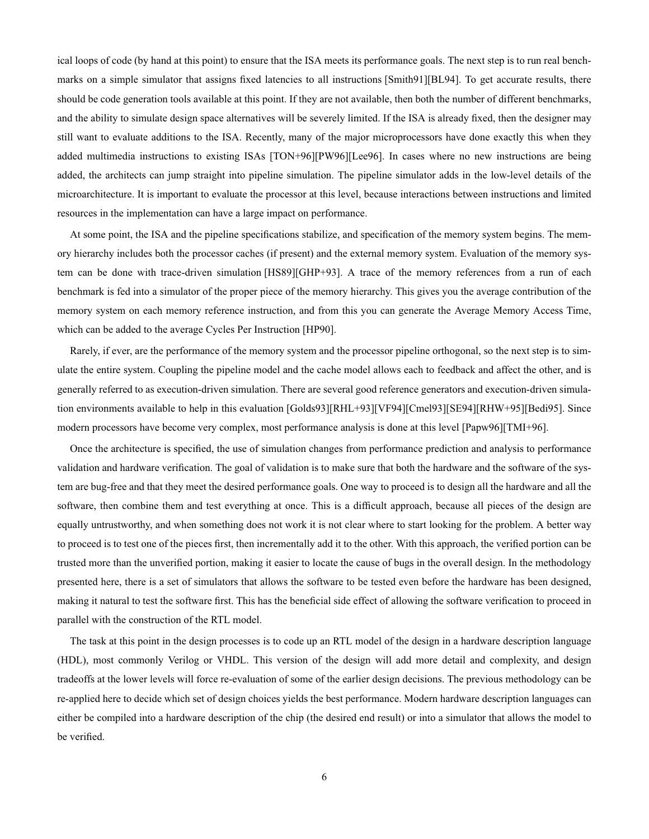ical loops of code (by hand at this point) to ensure that the ISA meets its performance goals. The next step is to run real benchmarks on a simple simulator that assigns fixed latencies to all instructions [Smith91][BL94]. To get accurate results, there should be code generation tools available at this point. If they are not available, then both the number of different benchmarks, and the ability to simulate design space alternatives will be severely limited. If the ISA is already fixed, then the designer may still want to evaluate additions to the ISA. Recently, many of the major microprocessors have done exactly this when they added multimedia instructions to existing ISAs [TON+96][PW96][Lee96]. In cases where no new instructions are being added, the architects can jump straight into pipeline simulation. The pipeline simulator adds in the low-level details of the microarchitecture. It is important to evaluate the processor at this level, because interactions between instructions and limited resources in the implementation can have a large impact on performance.

At some point, the ISA and the pipeline specifications stabilize, and specification of the memory system begins. The memory hierarchy includes both the processor caches (if present) and the external memory system. Evaluation of the memory system can be done with trace-driven simulation [HS89][GHP+93]. A trace of the memory references from a run of each benchmark is fed into a simulator of the proper piece of the memory hierarchy. This gives you the average contribution of the memory system on each memory reference instruction, and from this you can generate the Average Memory Access Time, which can be added to the average Cycles Per Instruction [HP90].

Rarely, if ever, are the performance of the memory system and the processor pipeline orthogonal, so the next step is to simulate the entire system. Coupling the pipeline model and the cache model allows each to feedback and affect the other, and is generally referred to as execution-driven simulation. There are several good reference generators and execution-driven simulation environments available to help in this evaluation [Golds93][RHL+93][VF94][Cmel93][SE94][RHW+95][Bedi95]. Since modern processors have become very complex, most performance analysis is done at this level [Papw96][TMI+96].

Once the architecture is specified, the use of simulation changes from performance prediction and analysis to performance validation and hardware verification. The goal of validation is to make sure that both the hardware and the software of the system are bug-free and that they meet the desired performance goals. One way to proceed is to design all the hardware and all the software, then combine them and test everything at once. This is a difficult approach, because all pieces of the design are equally untrustworthy, and when something does not work it is not clear where to start looking for the problem. A better way to proceed is to test one of the pieces first, then incrementally add it to the other. With this approach, the verified portion can be trusted more than the unverified portion, making it easier to locate the cause of bugs in the overall design. In the methodology presented here, there is a set of simulators that allows the software to be tested even before the hardware has been designed, making it natural to test the software first. This has the beneficial side effect of allowing the software verification to proceed in parallel with the construction of the RTL model.

The task at this point in the design processes is to code up an RTL model of the design in a hardware description language (HDL), most commonly Verilog or VHDL. This version of the design will add more detail and complexity, and design tradeoffs at the lower levels will force re-evaluation of some of the earlier design decisions. The previous methodology can be re-applied here to decide which set of design choices yields the best performance. Modern hardware description languages can either be compiled into a hardware description of the chip (the desired end result) or into a simulator that allows the model to be verified.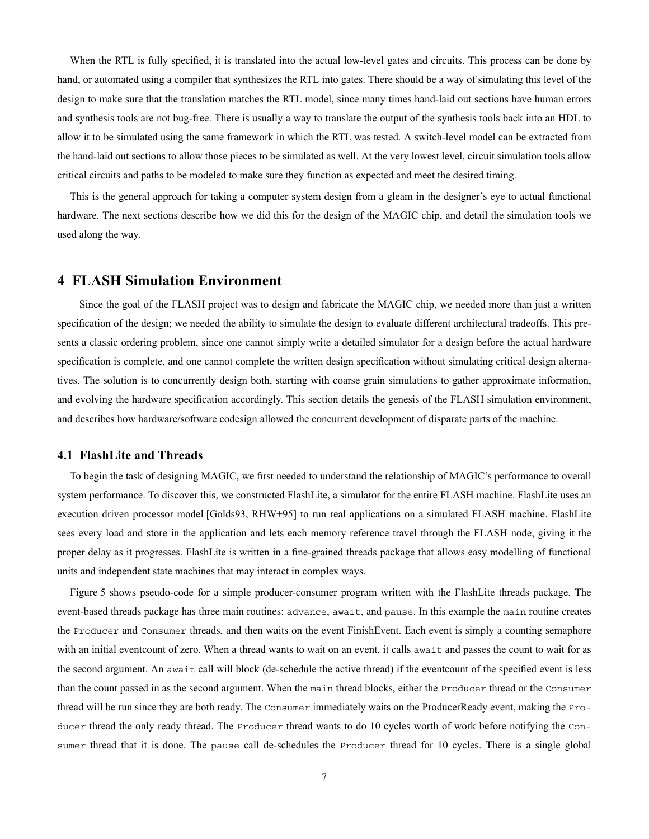When the RTL is fully specified, it is translated into the actual low-level gates and circuits. This process can be done by hand, or automated using a compiler that synthesizes the RTL into gates. There should be a way of simulating this level of the design to make sure that the translation matches the RTL model, since many times hand-laid out sections have human errors and synthesis tools are not bug-free. There is usually a way to translate the output of the synthesis tools back into an HDL to allow it to be simulated using the same framework in which the RTL was tested. A switch-level model can be extracted from the hand-laid out sections to allow those pieces to be simulated as well. At the very lowest level, circuit simulation tools allow critical circuits and paths to be modeled to make sure they function as expected and meet the desired timing.

This is the general approach for taking a computer system design from a gleam in the designer's eye to actual functional hardware. The next sections describe how we did this for the design of the MAGIC chip, and detail the simulation tools we used along the way.

### **4 FLASH Simulation Environment**

 Since the goal of the FLASH project was to design and fabricate the MAGIC chip, we needed more than just a written specification of the design; we needed the ability to simulate the design to evaluate different architectural tradeoffs. This presents a classic ordering problem, since one cannot simply write a detailed simulator for a design before the actual hardware specification is complete, and one cannot complete the written design specification without simulating critical design alternatives. The solution is to concurrently design both, starting with coarse grain simulations to gather approximate information, and evolving the hardware specification accordingly. This section details the genesis of the FLASH simulation environment, and describes how hardware/software codesign allowed the concurrent development of disparate parts of the machine.

#### **4.1 FlashLite and Threads**

To begin the task of designing MAGIC, we first needed to understand the relationship of MAGIC's performance to overall system performance. To discover this, we constructed FlashLite, a simulator for the entire FLASH machine. FlashLite uses an execution driven processor model [Golds93, RHW+95] to run real applications on a simulated FLASH machine. FlashLite sees every load and store in the application and lets each memory reference travel through the FLASH node, giving it the proper delay as it progresses. FlashLite is written in a fine-grained threads package that allows easy modelling of functional units and independent state machines that may interact in complex ways.

Figure 5 shows pseudo-code for a simple producer-consumer program written with the FlashLite threads package. The event-based threads package has three main routines: advance, await, and pause. In this example the main routine creates the Producer and Consumer threads, and then waits on the event FinishEvent. Each event is simply a counting semaphore with an initial eventcount of zero. When a thread wants to wait on an event, it calls await and passes the count to wait for as the second argument. An await call will block (de-schedule the active thread) if the eventcount of the specified event is less than the count passed in as the second argument. When the main thread blocks, either the Producer thread or the Consumer thread will be run since they are both ready. The Consumer immediately waits on the ProducerReady event, making the Producer thread the only ready thread. The Producer thread wants to do 10 cycles worth of work before notifying the Consumer thread that it is done. The pause call de-schedules the Producer thread for 10 cycles. There is a single global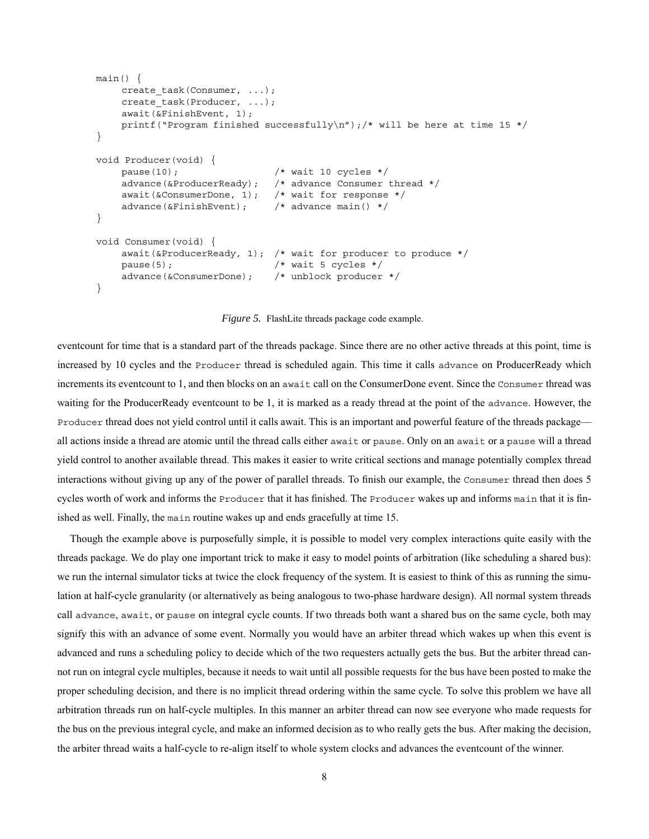```
main() {
    create task(Consumer, ...);
    create task(Producer, ...);
    await(&FinishEvent, 1);
    printf("Program finished successfully\n");/* will be here at time 15 */
}
void Producer(void) {
    pause(10); /* wait 10 cycles */
    advance(&ProducerReady); /* advance Consumer thread */await(&ConsumerDone, 1); /* wait for response */
    advance(&FinishEvent); /* advance main() */
}
void Consumer(void) {
    await(&ProducerReady, 1); /* wait for producer to produce */pause(5); /* wait 5 cycles */advance(&ConsumerDone); /* unblock producer */
}
```
*Figure 5.* FlashLite threads package code example.

eventcount for time that is a standard part of the threads package. Since there are no other active threads at this point, time is increased by 10 cycles and the Producer thread is scheduled again. This time it calls advance on ProducerReady which increments its eventcount to 1, and then blocks on an await call on the ConsumerDone event. Since the Consumer thread was waiting for the ProducerReady eventcount to be 1, it is marked as a ready thread at the point of the advance. However, the Producer thread does not yield control until it calls await. This is an important and powerful feature of the threads package all actions inside a thread are atomic until the thread calls either await or pause. Only on an await or a pause will a thread yield control to another available thread. This makes it easier to write critical sections and manage potentially complex thread interactions without giving up any of the power of parallel threads. To finish our example, the Consumer thread then does 5 cycles worth of work and informs the Producer that it has finished. The Producer wakes up and informs main that it is finished as well. Finally, the main routine wakes up and ends gracefully at time 15.

Though the example above is purposefully simple, it is possible to model very complex interactions quite easily with the threads package. We do play one important trick to make it easy to model points of arbitration (like scheduling a shared bus): we run the internal simulator ticks at twice the clock frequency of the system. It is easiest to think of this as running the simulation at half-cycle granularity (or alternatively as being analogous to two-phase hardware design). All normal system threads call advance, await, or pause on integral cycle counts. If two threads both want a shared bus on the same cycle, both may signify this with an advance of some event. Normally you would have an arbiter thread which wakes up when this event is advanced and runs a scheduling policy to decide which of the two requesters actually gets the bus. But the arbiter thread cannot run on integral cycle multiples, because it needs to wait until all possible requests for the bus have been posted to make the proper scheduling decision, and there is no implicit thread ordering within the same cycle. To solve this problem we have all arbitration threads run on half-cycle multiples. In this manner an arbiter thread can now see everyone who made requests for the bus on the previous integral cycle, and make an informed decision as to who really gets the bus. After making the decision, the arbiter thread waits a half-cycle to re-align itself to whole system clocks and advances the eventcount of the winner.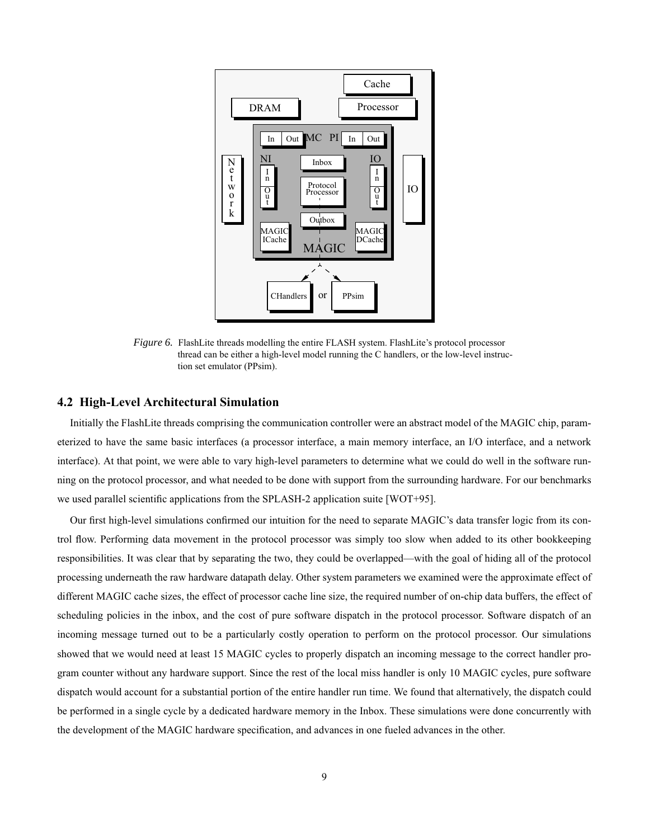

*Figure 6.* FlashLite threads modelling the entire FLASH system. FlashLite's protocol processor thread can be either a high-level model running the C handlers, or the low-level instruction set emulator (PPsim).

#### **4.2 High-Level Architectural Simulation**

Initially the FlashLite threads comprising the communication controller were an abstract model of the MAGIC chip, parameterized to have the same basic interfaces (a processor interface, a main memory interface, an I/O interface, and a network interface). At that point, we were able to vary high-level parameters to determine what we could do well in the software running on the protocol processor, and what needed to be done with support from the surrounding hardware. For our benchmarks we used parallel scientific applications from the SPLASH-2 application suite [WOT+95].

Our first high-level simulations confirmed our intuition for the need to separate MAGIC's data transfer logic from its control flow. Performing data movement in the protocol processor was simply too slow when added to its other bookkeeping responsibilities. It was clear that by separating the two, they could be overlapped—with the goal of hiding all of the protocol processing underneath the raw hardware datapath delay. Other system parameters we examined were the approximate effect of different MAGIC cache sizes, the effect of processor cache line size, the required number of on-chip data buffers, the effect of scheduling policies in the inbox, and the cost of pure software dispatch in the protocol processor. Software dispatch of an incoming message turned out to be a particularly costly operation to perform on the protocol processor. Our simulations showed that we would need at least 15 MAGIC cycles to properly dispatch an incoming message to the correct handler program counter without any hardware support. Since the rest of the local miss handler is only 10 MAGIC cycles, pure software dispatch would account for a substantial portion of the entire handler run time. We found that alternatively, the dispatch could be performed in a single cycle by a dedicated hardware memory in the Inbox. These simulations were done concurrently with the development of the MAGIC hardware specification, and advances in one fueled advances in the other.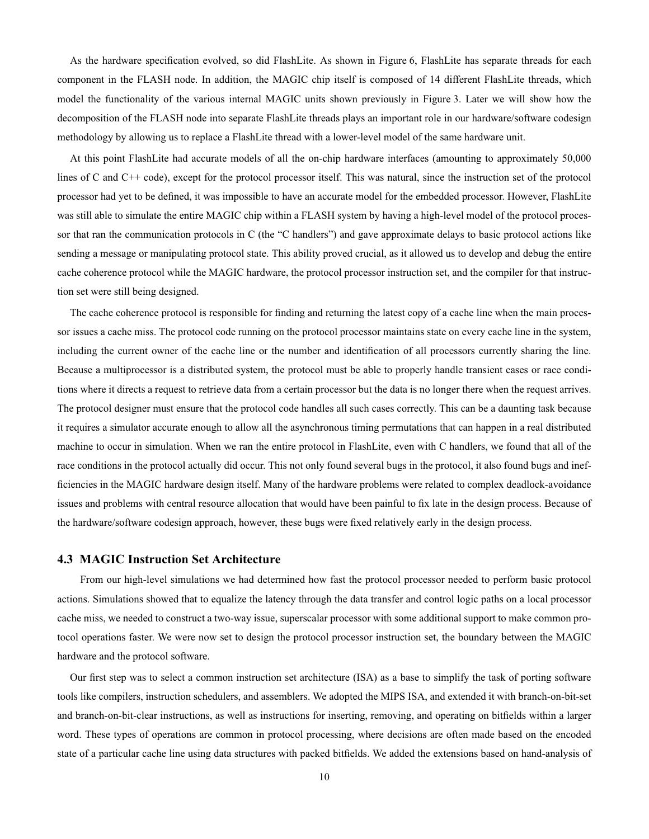As the hardware specification evolved, so did FlashLite. As shown in Figure 6, FlashLite has separate threads for each component in the FLASH node. In addition, the MAGIC chip itself is composed of 14 different FlashLite threads, which model the functionality of the various internal MAGIC units shown previously in Figure 3. Later we will show how the decomposition of the FLASH node into separate FlashLite threads plays an important role in our hardware/software codesign methodology by allowing us to replace a FlashLite thread with a lower-level model of the same hardware unit.

At this point FlashLite had accurate models of all the on-chip hardware interfaces (amounting to approximately 50,000 lines of C and C++ code), except for the protocol processor itself. This was natural, since the instruction set of the protocol processor had yet to be defined, it was impossible to have an accurate model for the embedded processor. However, FlashLite was still able to simulate the entire MAGIC chip within a FLASH system by having a high-level model of the protocol processor that ran the communication protocols in C (the "C handlers") and gave approximate delays to basic protocol actions like sending a message or manipulating protocol state. This ability proved crucial, as it allowed us to develop and debug the entire cache coherence protocol while the MAGIC hardware, the protocol processor instruction set, and the compiler for that instruction set were still being designed.

The cache coherence protocol is responsible for finding and returning the latest copy of a cache line when the main processor issues a cache miss. The protocol code running on the protocol processor maintains state on every cache line in the system, including the current owner of the cache line or the number and identification of all processors currently sharing the line. Because a multiprocessor is a distributed system, the protocol must be able to properly handle transient cases or race conditions where it directs a request to retrieve data from a certain processor but the data is no longer there when the request arrives. The protocol designer must ensure that the protocol code handles all such cases correctly. This can be a daunting task because it requires a simulator accurate enough to allow all the asynchronous timing permutations that can happen in a real distributed machine to occur in simulation. When we ran the entire protocol in FlashLite, even with C handlers, we found that all of the race conditions in the protocol actually did occur. This not only found several bugs in the protocol, it also found bugs and inefficiencies in the MAGIC hardware design itself. Many of the hardware problems were related to complex deadlock-avoidance issues and problems with central resource allocation that would have been painful to fix late in the design process. Because of the hardware/software codesign approach, however, these bugs were fixed relatively early in the design process.

#### **4.3 MAGIC Instruction Set Architecture**

 From our high-level simulations we had determined how fast the protocol processor needed to perform basic protocol actions. Simulations showed that to equalize the latency through the data transfer and control logic paths on a local processor cache miss, we needed to construct a two-way issue, superscalar processor with some additional support to make common protocol operations faster. We were now set to design the protocol processor instruction set, the boundary between the MAGIC hardware and the protocol software.

Our first step was to select a common instruction set architecture (ISA) as a base to simplify the task of porting software tools like compilers, instruction schedulers, and assemblers. We adopted the MIPS ISA, and extended it with branch-on-bit-set and branch-on-bit-clear instructions, as well as instructions for inserting, removing, and operating on bitfields within a larger word. These types of operations are common in protocol processing, where decisions are often made based on the encoded state of a particular cache line using data structures with packed bitfields. We added the extensions based on hand-analysis of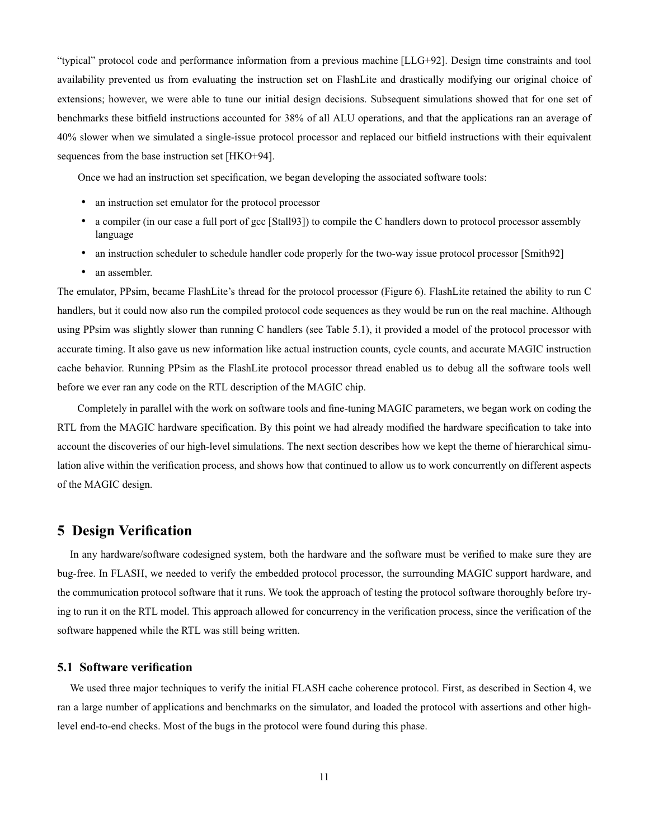"typical" protocol code and performance information from a previous machine [LLG+92]. Design time constraints and tool availability prevented us from evaluating the instruction set on FlashLite and drastically modifying our original choice of extensions; however, we were able to tune our initial design decisions. Subsequent simulations showed that for one set of benchmarks these bitfield instructions accounted for 38% of all ALU operations, and that the applications ran an average of 40% slower when we simulated a single-issue protocol processor and replaced our bitfield instructions with their equivalent sequences from the base instruction set [HKO+94].

Once we had an instruction set specification, we began developing the associated software tools:

- an instruction set emulator for the protocol processor
- a compiler (in our case a full port of gcc [Stall93]) to compile the C handlers down to protocol processor assembly language
- an instruction scheduler to schedule handler code properly for the two-way issue protocol processor [Smith92]
- an assembler.

The emulator, PPsim, became FlashLite's thread for the protocol processor (Figure 6). FlashLite retained the ability to run C handlers, but it could now also run the compiled protocol code sequences as they would be run on the real machine. Although using PPsim was slightly slower than running C handlers (see Table 5.1), it provided a model of the protocol processor with accurate timing. It also gave us new information like actual instruction counts, cycle counts, and accurate MAGIC instruction cache behavior. Running PPsim as the FlashLite protocol processor thread enabled us to debug all the software tools well before we ever ran any code on the RTL description of the MAGIC chip.

 Completely in parallel with the work on software tools and fine-tuning MAGIC parameters, we began work on coding the RTL from the MAGIC hardware specification. By this point we had already modified the hardware specification to take into account the discoveries of our high-level simulations. The next section describes how we kept the theme of hierarchical simulation alive within the verification process, and shows how that continued to allow us to work concurrently on different aspects of the MAGIC design.

### **5 Design Verification**

In any hardware/software codesigned system, both the hardware and the software must be verified to make sure they are bug-free. In FLASH, we needed to verify the embedded protocol processor, the surrounding MAGIC support hardware, and the communication protocol software that it runs. We took the approach of testing the protocol software thoroughly before trying to run it on the RTL model. This approach allowed for concurrency in the verification process, since the verification of the software happened while the RTL was still being written.

#### **5.1 Software verification**

We used three major techniques to verify the initial FLASH cache coherence protocol. First, as described in Section 4, we ran a large number of applications and benchmarks on the simulator, and loaded the protocol with assertions and other highlevel end-to-end checks. Most of the bugs in the protocol were found during this phase.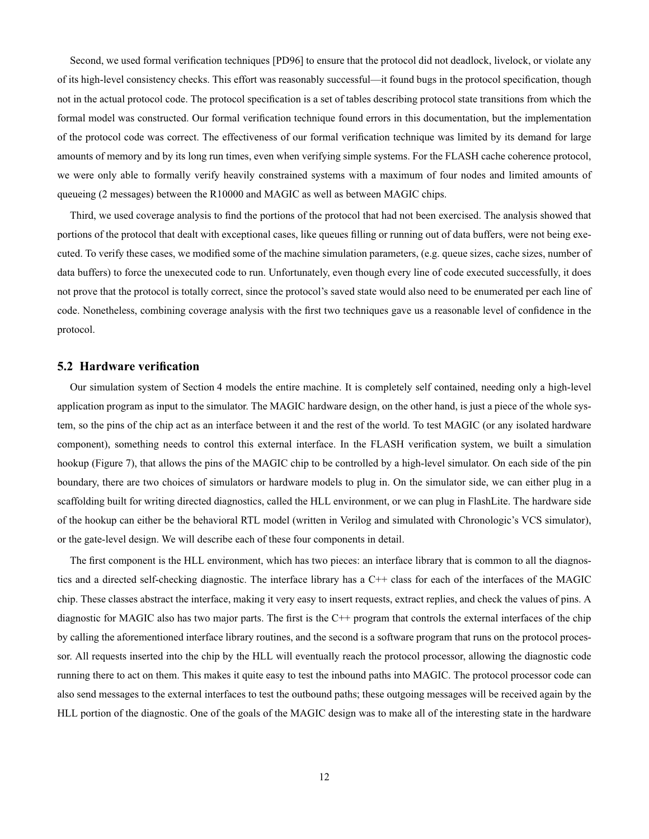Second, we used formal verification techniques [PD96] to ensure that the protocol did not deadlock, livelock, or violate any of its high-level consistency checks. This effort was reasonably successful—it found bugs in the protocol specification, though not in the actual protocol code. The protocol specification is a set of tables describing protocol state transitions from which the formal model was constructed. Our formal verification technique found errors in this documentation, but the implementation of the protocol code was correct. The effectiveness of our formal verification technique was limited by its demand for large amounts of memory and by its long run times, even when verifying simple systems. For the FLASH cache coherence protocol, we were only able to formally verify heavily constrained systems with a maximum of four nodes and limited amounts of queueing (2 messages) between the R10000 and MAGIC as well as between MAGIC chips.

Third, we used coverage analysis to find the portions of the protocol that had not been exercised. The analysis showed that portions of the protocol that dealt with exceptional cases, like queues filling or running out of data buffers, were not being executed. To verify these cases, we modified some of the machine simulation parameters, (e.g. queue sizes, cache sizes, number of data buffers) to force the unexecuted code to run. Unfortunately, even though every line of code executed successfully, it does not prove that the protocol is totally correct, since the protocol's saved state would also need to be enumerated per each line of code. Nonetheless, combining coverage analysis with the first two techniques gave us a reasonable level of confidence in the protocol.

#### **5.2 Hardware verification**

Our simulation system of Section 4 models the entire machine. It is completely self contained, needing only a high-level application program as input to the simulator. The MAGIC hardware design, on the other hand, is just a piece of the whole system, so the pins of the chip act as an interface between it and the rest of the world. To test MAGIC (or any isolated hardware component), something needs to control this external interface. In the FLASH verification system, we built a simulation hookup (Figure 7), that allows the pins of the MAGIC chip to be controlled by a high-level simulator. On each side of the pin boundary, there are two choices of simulators or hardware models to plug in. On the simulator side, we can either plug in a scaffolding built for writing directed diagnostics, called the HLL environment, or we can plug in FlashLite. The hardware side of the hookup can either be the behavioral RTL model (written in Verilog and simulated with Chronologic's VCS simulator), or the gate-level design. We will describe each of these four components in detail.

The first component is the HLL environment, which has two pieces: an interface library that is common to all the diagnostics and a directed self-checking diagnostic. The interface library has a C++ class for each of the interfaces of the MAGIC chip. These classes abstract the interface, making it very easy to insert requests, extract replies, and check the values of pins. A diagnostic for MAGIC also has two major parts. The first is the C++ program that controls the external interfaces of the chip by calling the aforementioned interface library routines, and the second is a software program that runs on the protocol processor. All requests inserted into the chip by the HLL will eventually reach the protocol processor, allowing the diagnostic code running there to act on them. This makes it quite easy to test the inbound paths into MAGIC. The protocol processor code can also send messages to the external interfaces to test the outbound paths; these outgoing messages will be received again by the HLL portion of the diagnostic. One of the goals of the MAGIC design was to make all of the interesting state in the hardware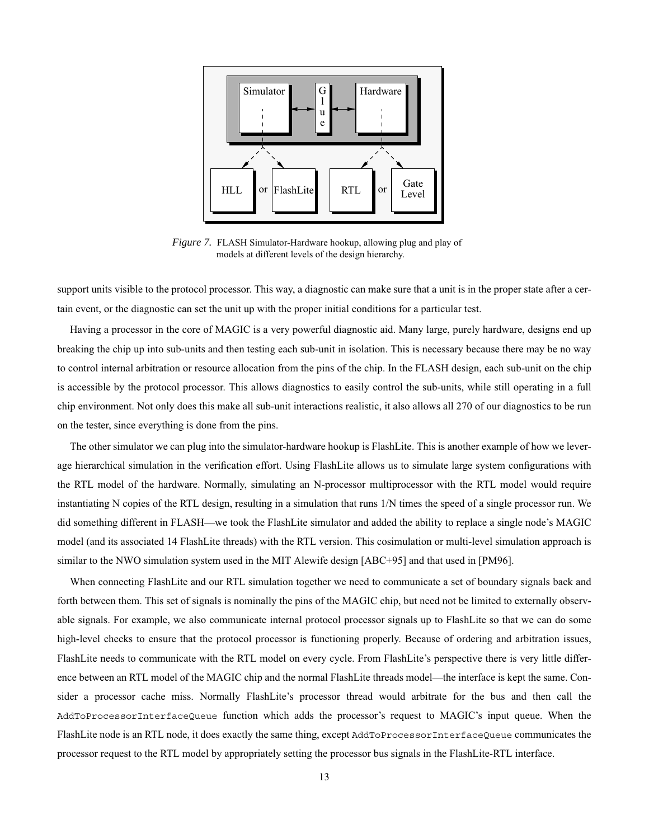

*Figure 7.* FLASH Simulator-Hardware hookup, allowing plug and play of models at different levels of the design hierarchy.

support units visible to the protocol processor. This way, a diagnostic can make sure that a unit is in the proper state after a certain event, or the diagnostic can set the unit up with the proper initial conditions for a particular test.

Having a processor in the core of MAGIC is a very powerful diagnostic aid. Many large, purely hardware, designs end up breaking the chip up into sub-units and then testing each sub-unit in isolation. This is necessary because there may be no way to control internal arbitration or resource allocation from the pins of the chip. In the FLASH design, each sub-unit on the chip is accessible by the protocol processor. This allows diagnostics to easily control the sub-units, while still operating in a full chip environment. Not only does this make all sub-unit interactions realistic, it also allows all 270 of our diagnostics to be run on the tester, since everything is done from the pins.

The other simulator we can plug into the simulator-hardware hookup is FlashLite. This is another example of how we leverage hierarchical simulation in the verification effort. Using FlashLite allows us to simulate large system configurations with the RTL model of the hardware. Normally, simulating an N-processor multiprocessor with the RTL model would require instantiating N copies of the RTL design, resulting in a simulation that runs 1/N times the speed of a single processor run. We did something different in FLASH—we took the FlashLite simulator and added the ability to replace a single node's MAGIC model (and its associated 14 FlashLite threads) with the RTL version. This cosimulation or multi-level simulation approach is similar to the NWO simulation system used in the MIT Alewife design [ABC+95] and that used in [PM96].

When connecting FlashLite and our RTL simulation together we need to communicate a set of boundary signals back and forth between them. This set of signals is nominally the pins of the MAGIC chip, but need not be limited to externally observable signals. For example, we also communicate internal protocol processor signals up to FlashLite so that we can do some high-level checks to ensure that the protocol processor is functioning properly. Because of ordering and arbitration issues, FlashLite needs to communicate with the RTL model on every cycle. From FlashLite's perspective there is very little difference between an RTL model of the MAGIC chip and the normal FlashLite threads model—the interface is kept the same. Consider a processor cache miss. Normally FlashLite's processor thread would arbitrate for the bus and then call the AddToProcessorInterfaceQueue function which adds the processor's request to MAGIC's input queue. When the FlashLite node is an RTL node, it does exactly the same thing, except AddToProcessorInterfaceQueue communicates the processor request to the RTL model by appropriately setting the processor bus signals in the FlashLite-RTL interface.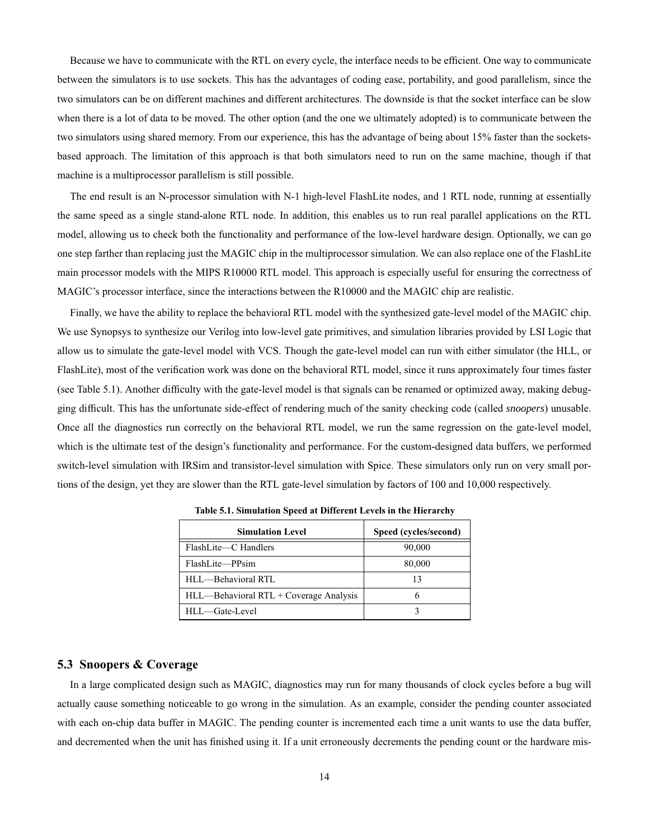Because we have to communicate with the RTL on every cycle, the interface needs to be efficient. One way to communicate between the simulators is to use sockets. This has the advantages of coding ease, portability, and good parallelism, since the two simulators can be on different machines and different architectures. The downside is that the socket interface can be slow when there is a lot of data to be moved. The other option (and the one we ultimately adopted) is to communicate between the two simulators using shared memory. From our experience, this has the advantage of being about 15% faster than the socketsbased approach. The limitation of this approach is that both simulators need to run on the same machine, though if that machine is a multiprocessor parallelism is still possible.

The end result is an N-processor simulation with N-1 high-level FlashLite nodes, and 1 RTL node, running at essentially the same speed as a single stand-alone RTL node. In addition, this enables us to run real parallel applications on the RTL model, allowing us to check both the functionality and performance of the low-level hardware design. Optionally, we can go one step farther than replacing just the MAGIC chip in the multiprocessor simulation. We can also replace one of the FlashLite main processor models with the MIPS R10000 RTL model. This approach is especially useful for ensuring the correctness of MAGIC's processor interface, since the interactions between the R10000 and the MAGIC chip are realistic.

Finally, we have the ability to replace the behavioral RTL model with the synthesized gate-level model of the MAGIC chip. We use Synopsys to synthesize our Verilog into low-level gate primitives, and simulation libraries provided by LSI Logic that allow us to simulate the gate-level model with VCS. Though the gate-level model can run with either simulator (the HLL, or FlashLite), most of the verification work was done on the behavioral RTL model, since it runs approximately four times faster (see Table 5.1). Another difficulty with the gate-level model is that signals can be renamed or optimized away, making debugging difficult. This has the unfortunate side-effect of rendering much of the sanity checking code (called *snoopers*) unusable. Once all the diagnostics run correctly on the behavioral RTL model, we run the same regression on the gate-level model, which is the ultimate test of the design's functionality and performance. For the custom-designed data buffers, we performed switch-level simulation with IRSim and transistor-level simulation with Spice. These simulators only run on very small portions of the design, yet they are slower than the RTL gate-level simulation by factors of 100 and 10,000 respectively.

| <b>Simulation Level</b>                   | Speed (cycles/second) |
|-------------------------------------------|-----------------------|
| FlashLite—C Handlers                      | 90,000                |
| FlashLite—PPsim                           | 80,000                |
| HLL-Behavioral RTL                        |                       |
| $HLL$ —Behavioral RTL + Coverage Analysis |                       |
| HLL-Gate-Level                            |                       |

**Table 5.1. Simulation Speed at Different Levels in the Hierarchy**

### **5.3 Snoopers & Coverage**

In a large complicated design such as MAGIC, diagnostics may run for many thousands of clock cycles before a bug will actually cause something noticeable to go wrong in the simulation. As an example, consider the pending counter associated with each on-chip data buffer in MAGIC. The pending counter is incremented each time a unit wants to use the data buffer, and decremented when the unit has finished using it. If a unit erroneously decrements the pending count or the hardware mis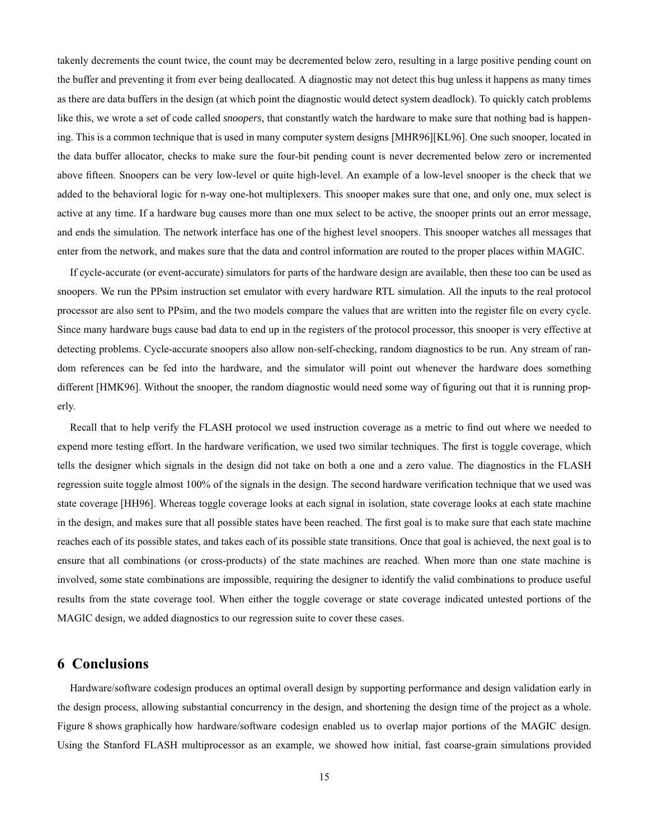takenly decrements the count twice, the count may be decremented below zero, resulting in a large positive pending count on the buffer and preventing it from ever being deallocated. A diagnostic may not detect this bug unless it happens as many times as there are data buffers in the design (at which point the diagnostic would detect system deadlock). To quickly catch problems like this, we wrote a set of code called *snoopers*, that constantly watch the hardware to make sure that nothing bad is happening. This is a common technique that is used in many computer system designs [MHR96][KL96]. One such snooper, located in the data buffer allocator, checks to make sure the four-bit pending count is never decremented below zero or incremented above fifteen. Snoopers can be very low-level or quite high-level. An example of a low-level snooper is the check that we added to the behavioral logic for n-way one-hot multiplexers. This snooper makes sure that one, and only one, mux select is active at any time. If a hardware bug causes more than one mux select to be active, the snooper prints out an error message, and ends the simulation. The network interface has one of the highest level snoopers. This snooper watches all messages that enter from the network, and makes sure that the data and control information are routed to the proper places within MAGIC.

If cycle-accurate (or event-accurate) simulators for parts of the hardware design are available, then these too can be used as snoopers. We run the PPsim instruction set emulator with every hardware RTL simulation. All the inputs to the real protocol processor are also sent to PPsim, and the two models compare the values that are written into the register file on every cycle. Since many hardware bugs cause bad data to end up in the registers of the protocol processor, this snooper is very effective at detecting problems. Cycle-accurate snoopers also allow non-self-checking, random diagnostics to be run. Any stream of random references can be fed into the hardware, and the simulator will point out whenever the hardware does something different [HMK96]. Without the snooper, the random diagnostic would need some way of figuring out that it is running properly.

Recall that to help verify the FLASH protocol we used instruction coverage as a metric to find out where we needed to expend more testing effort. In the hardware verification, we used two similar techniques. The first is toggle coverage, which tells the designer which signals in the design did not take on both a one and a zero value. The diagnostics in the FLASH regression suite toggle almost 100% of the signals in the design. The second hardware verification technique that we used was state coverage [HH96]. Whereas toggle coverage looks at each signal in isolation, state coverage looks at each state machine in the design, and makes sure that all possible states have been reached. The first goal is to make sure that each state machine reaches each of its possible states, and takes each of its possible state transitions. Once that goal is achieved, the next goal is to ensure that all combinations (or cross-products) of the state machines are reached. When more than one state machine is involved, some state combinations are impossible, requiring the designer to identify the valid combinations to produce useful results from the state coverage tool. When either the toggle coverage or state coverage indicated untested portions of the MAGIC design, we added diagnostics to our regression suite to cover these cases.

# **6 Conclusions**

Hardware/software codesign produces an optimal overall design by supporting performance and design validation early in the design process, allowing substantial concurrency in the design, and shortening the design time of the project as a whole. Figure 8 shows graphically how hardware/software codesign enabled us to overlap major portions of the MAGIC design. Using the Stanford FLASH multiprocessor as an example, we showed how initial, fast coarse-grain simulations provided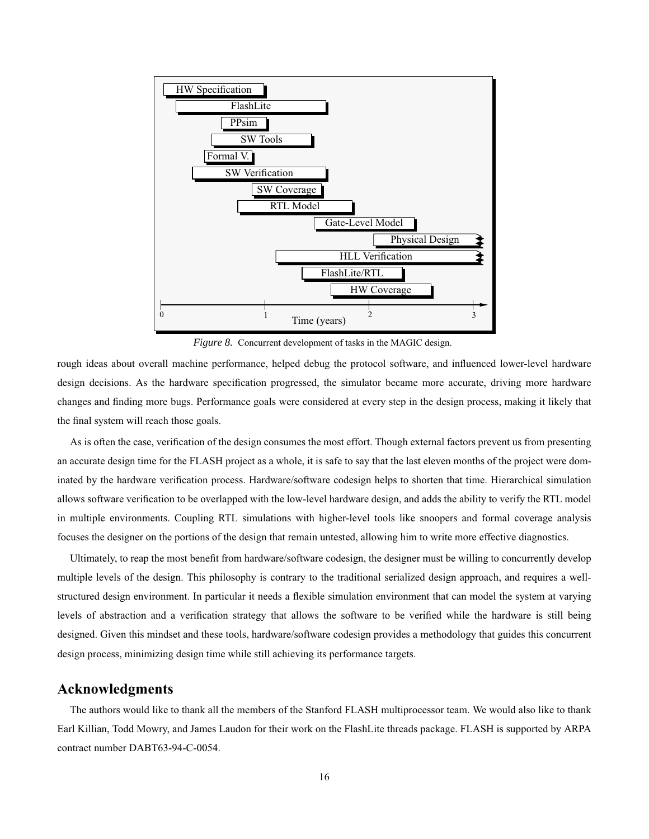

*Figure 8.* Concurrent development of tasks in the MAGIC design.

rough ideas about overall machine performance, helped debug the protocol software, and influenced lower-level hardware design decisions. As the hardware specification progressed, the simulator became more accurate, driving more hardware changes and finding more bugs. Performance goals were considered at every step in the design process, making it likely that the final system will reach those goals.

As is often the case, verification of the design consumes the most effort. Though external factors prevent us from presenting an accurate design time for the FLASH project as a whole, it is safe to say that the last eleven months of the project were dominated by the hardware verification process. Hardware/software codesign helps to shorten that time. Hierarchical simulation allows software verification to be overlapped with the low-level hardware design, and adds the ability to verify the RTL model in multiple environments. Coupling RTL simulations with higher-level tools like snoopers and formal coverage analysis focuses the designer on the portions of the design that remain untested, allowing him to write more effective diagnostics.

Ultimately, to reap the most benefit from hardware/software codesign, the designer must be willing to concurrently develop multiple levels of the design. This philosophy is contrary to the traditional serialized design approach, and requires a wellstructured design environment. In particular it needs a flexible simulation environment that can model the system at varying levels of abstraction and a verification strategy that allows the software to be verified while the hardware is still being designed. Given this mindset and these tools, hardware/software codesign provides a methodology that guides this concurrent design process, minimizing design time while still achieving its performance targets.

# **Acknowledgments**

The authors would like to thank all the members of the Stanford FLASH multiprocessor team. We would also like to thank Earl Killian, Todd Mowry, and James Laudon for their work on the FlashLite threads package. FLASH is supported by ARPA contract number DABT63-94-C-0054.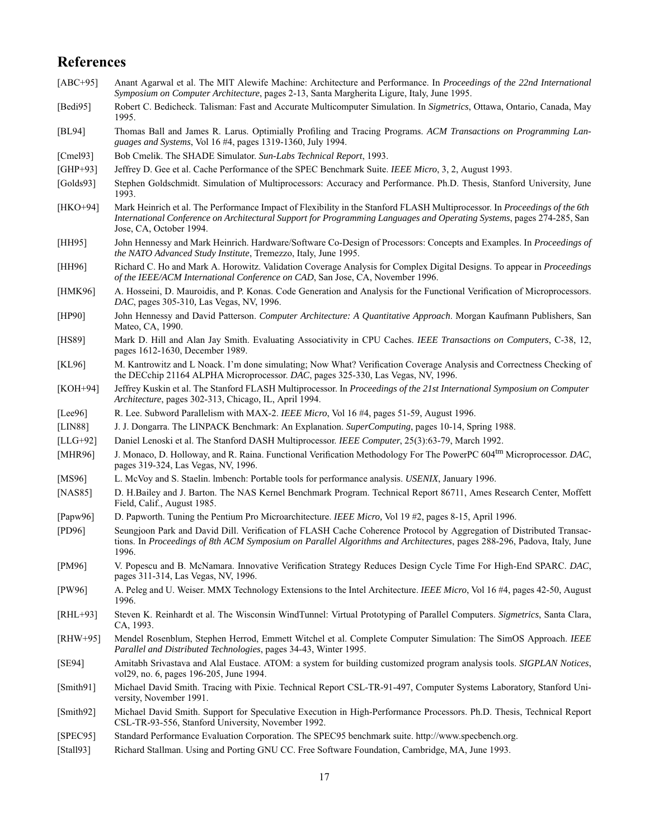### **References**

- [ABC+95] Anant Agarwal et al. The MIT Alewife Machine: Architecture and Performance. In *Proceedings of the 22nd International Symposium on Computer Architecture*, pages 2-13, Santa Margherita Ligure, Italy, June 1995.
- [Bedi95] Robert C. Bedicheck. Talisman: Fast and Accurate Multicomputer Simulation. In *Sigmetrics*, Ottawa, Ontario, Canada, May 1995.
- [BL94] Thomas Ball and James R. Larus. Optimially Profiling and Tracing Programs. *ACM Transactions on Programming Languages and Systems*, Vol 16 #4, pages 1319-1360, July 1994.
- [Cmel93] Bob Cmelik. The SHADE Simulator. *Sun-Labs Technical Report*, 1993.
- [GHP+93] Jeffrey D. Gee et al. Cache Performance of the SPEC Benchmark Suite. *IEEE Micro*, 3, 2, August 1993.
- [Golds93] Stephen Goldschmidt. Simulation of Multiprocessors: Accuracy and Performance. Ph.D. Thesis, Stanford University, June 1993.
- [HKO+94] Mark Heinrich et al. The Performance Impact of Flexibility in the Stanford FLASH Multiprocessor. In *Proceedings of the 6th International Conference on Architectural Support for Programming Languages and Operating Systems*, pages 274-285, San Jose, CA, October 1994.
- [HH95] John Hennessy and Mark Heinrich. Hardware/Software Co-Design of Processors: Concepts and Examples. In *Proceedings of the NATO Advanced Study Institute*, Tremezzo, Italy, June 1995.
- [HH96] Richard C. Ho and Mark A. Horowitz. Validation Coverage Analysis for Complex Digital Designs. To appear in *Proceedings of the IEEE/ACM International Conference on CAD*, San Jose, CA, November 1996.
- [HMK96] A. Hosseini, D. Mauroidis, and P. Konas. Code Generation and Analysis for the Functional Verification of Microprocessors. *DAC*, pages 305-310*,* Las Vegas, NV, 1996.
- [HP90] John Hennessy and David Patterson. *Computer Architecture: A Quantitative Approach*. Morgan Kaufmann Publishers, San Mateo, CA, 1990.
- [HS89] Mark D. Hill and Alan Jay Smith. Evaluating Associativity in CPU Caches. *IEEE Transactions on Computers*, C-38, 12, pages 1612-1630, December 1989.
- [KL96] M. Kantrowitz and L Noack. I'm done simulating; Now What? Verification Coverage Analysis and Correctness Checking of the DECchip 21164 ALPHA Microprocessor. *DAC*, pages 325-330, Las Vegas, NV, 1996.
- [KOH+94] Jeffrey Kuskin et al. The Stanford FLASH Multiprocessor. In *Proceedings of the 21st International Symposium on Computer Architecture*, pages 302-313, Chicago, IL, April 1994.
- [Lee96] R. Lee. Subword Parallelism with MAX-2. *IEEE Micro*, Vol 16 #4, pages 51-59, August 1996.
- [LIN88] J. J. Dongarra. The LINPACK Benchmark: An Explanation. *SuperComputing*, pages 10-14, Spring 1988.
- [LLG+92] Daniel Lenoski et al. The Stanford DASH Multiprocessor. *IEEE Computer*, 25(3):63-79, March 1992.
- [MHR96] J. Monaco, D. Holloway, and R. Raina. Functional Verification Methodology For The PowerPC 604tm Microprocessor. *DAC*, pages 319-324, Las Vegas, NV, 1996.
- [MS96] L. McVoy and S. Staelin. lmbench: Portable tools for performance analysis. *USENIX*, January 1996.
- [NAS85] D. H.Bailey and J. Barton. The NAS Kernel Benchmark Program. Technical Report 86711, Ames Research Center, Moffett Field, Calif., August 1985.
- [Papw96] D. Papworth. Tuning the Pentium Pro Microarchitecture. *IEEE Micro,* Vol 19 #2, pages 8-15, April 1996.
- [PD96] Seungjoon Park and David Dill. Verification of FLASH Cache Coherence Protocol by Aggregation of Distributed Transactions. In *Proceedings of 8th ACM Symposium on Parallel Algorithms and Architectures*, pages 288-296, Padova, Italy, June 1996.
- [PM96] V. Popescu and B. McNamara. Innovative Verification Strategy Reduces Design Cycle Time For High-End SPARC. *DAC*, pages 311-314, Las Vegas, NV, 1996.
- [PW96] A. Peleg and U. Weiser. MMX Technology Extensions to the Intel Architecture. *IEEE Micro*, Vol 16 #4, pages 42-50, August 1996.
- [RHL+93] Steven K. Reinhardt et al. The Wisconsin WindTunnel: Virtual Prototyping of Parallel Computers. *Sigmetrics*, Santa Clara, CA, 1993.
- [RHW+95] Mendel Rosenblum, Stephen Herrod, Emmett Witchel et al. Complete Computer Simulation: The SimOS Approach. *IEEE Parallel and Distributed Technologies*, pages 34-43, Winter 1995.
- [SE94] Amitabh Srivastava and Alal Eustace. ATOM: a system for building customized program analysis tools. *SIGPLAN Notices*, vol29, no. 6, pages 196-205, June 1994.
- [Smith91] Michael David Smith. Tracing with Pixie. Technical Report CSL-TR-91-497, Computer Systems Laboratory, Stanford University, November 1991.
- [Smith92] Michael David Smith. Support for Speculative Execution in High-Performance Processors. Ph.D. Thesis, Technical Report CSL-TR-93-556, Stanford University, November 1992.
- [SPEC95] Standard Performance Evaluation Corporation. The SPEC95 benchmark suite. http://www.specbench.org.
- [Stall93] Richard Stallman. Using and Porting GNU CC. Free Software Foundation, Cambridge, MA, June 1993.